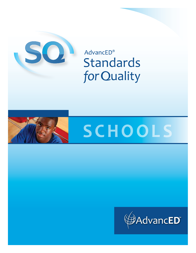

**AdvancED® Standards** for Quality



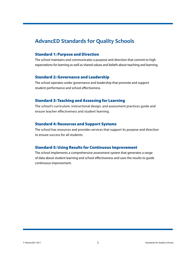### **AdvancED Standards for Quality Schools**

#### Standard 1: Purpose and Direction

The school maintains and communicates a purpose and direction that commit to high expectations for learning as well as shared values and beliefs about teaching and learning.

#### Standard 2: Governance and Leadership

The school operates under governance and leadership that promote and support student performance and school effectiveness.

#### Standard 3: Teaching and Assessing for Learning

The school's curriculum, instructional design, and assessment practices guide and ensure teacher effectiveness and student learning.

#### Standard 4: Resources and Support Systems

The school has resources and provides services that support its purpose and direction to ensure success for all students.

#### Standard 5: Using Results for Continuous Improvement

The school implements a comprehensive assessment system that generates a range of data about student learning and school effectiveness and uses the results to guide continuous improvement.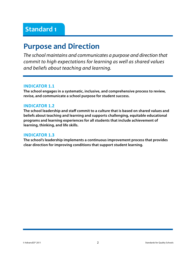# **Purpose and Direction**

*The school maintains and communicates a purpose and direction that commit to high expectations for learning as well as shared values and beliefs about teaching and learning.* 

#### **Indicator 1.1**

**The school engages in a systematic, inclusive, and comprehensive process to review, revise, and communicate a school purpose for student success.**

#### **Indicator 1.2**

**The school leadership and staff commit to a culture that is based on shared values and beliefs about teaching and learning and supports challenging, equitable educational programs and learning experiences for all students that include achievement of learning, thinking, and life skills.**

#### **Indicator 1.3**

**The school's leadership implements a continuous improvement process that provides clear direction for improving conditions that support student learning.**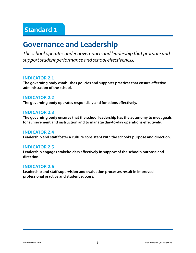## **Governance and Leadership**

*The school operates under governance and leadership that promote and support student performance and school effectiveness.*

#### **Indicator 2.1**

**The governing body establishes policies and supports practices that ensure effective administration of the school.**

#### **Indicator 2.2**

**The governing body operates responsibly and functions effectively.** 

#### **Indicator 2.3**

**The governing body ensures that the school leadership has the autonomy to meet goals for achievement and instruction and to manage day-to-day operations effectively.**

#### **Indicator 2.4**

**Leadership and staff foster a culture consistent with the school's purpose and direction.**

#### **Indicator 2.5**

**Leadership engages stakeholders effectively in support of the school's purpose and direction.**

#### **Indicator 2.6**

**Leadership and staff supervision and evaluation processes result in improved professional practice and student success.**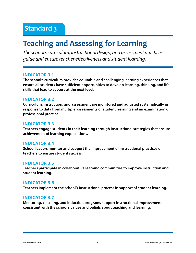# **Teaching and Assessing for Learning**

*The school's curriculum, instructional design, and assessment practices guide and ensure teacher effectiveness and student learning.*

#### **Indicator 3.1**

**The school's curriculum provides equitable and challenging learning experiences that ensure all students have sufficient opportunities to develop learning, thinking, and life skills that lead to success at the next level.**

#### **Indicator 3.2**

**Curriculum, instruction, and assessment are monitored and adjusted systematically in response to data from multiple assessments of student learning and an examination of professional practice.**

#### **Indicator 3.3**

**Teachers engage students in their learning through instructional strategies that ensure achievement of learning expectations.**

#### **Indicator 3.4**

**School leaders monitor and support the improvement of instructional practices of teachers to ensure student success.**

#### **Indicator 3.5**

**Teachers participate in collaborative learning communities to improve instruction and student learning.**

#### **Indicator 3.6**

**Teachers implement the school's instructional process in support of student learning.**

#### **Indicator 3.7**

**Mentoring, coaching, and induction programs support instructional improvement consistent with the school's values and beliefs about teaching and learning.**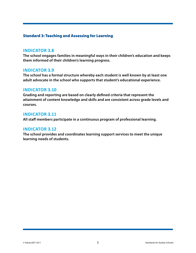#### Standard 3: Teaching and Assessing for Learning

#### **Indicator 3.8**

**The school engages families in meaningful ways in their children's education and keeps them informed of their children's learning progress.**

#### **Indicator 3.9**

**The school has a formal structure whereby each student is well known by at least one adult advocate in the school who supports that student's educational experience.**

#### **Indicator 3.10**

**Grading and reporting are based on clearly defined criteria that represent the attainment of content knowledge and skills and are consistent across grade levels and courses.**

#### **Indicator 3.11**

**All staff members participate in a continuous program of professional learning.**

#### **Indicator 3.12**

**The school provides and coordinates learning support services to meet the unique learning needs of students.**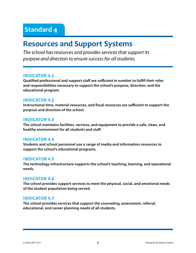### **Resources and Support Systems**

*The school has resources and provides services that support its purpose and direction to ensure success for all students.*

#### **Indicator 4.1**

**Qualified professional and support staff are sufficient in number to fulfill their roles and responsibilities necessary to support the school's purpose, direction, and the educational program.**

#### **Indicator 4.2**

**Instructional time, material resources, and fiscal resources are sufficient to support the purpose and direction of the school.**

#### **Indicator 4.3**

**The school maintains facilities, services, and equipment to provide a safe, clean, and healthy environment for all students and staff.**

#### **Indicator 4.4**

**Students and school personnel use a range of media and information resources to support the school's educational programs.**

#### **Indicator 4.5**

**The technology infrastructure supports the school's teaching, learning, and operational needs.**

#### **Indicator 4.6**

**The school provides support services to meet the physical, social, and emotional needs of the student population being served.** 

#### **Indicator 4.7**

**The school provides services that support the counseling, assessment, referral, educational, and career planning needs of all students.**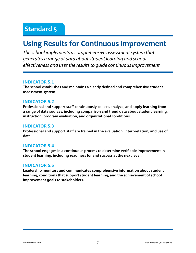# **Using Results for Continuous Improvement**

*The school implements a comprehensive assessment system that generates a range of data about student learning and school effectiveness and uses the results to guide continuous improvement.* 

#### **Indicator 5.1**

**The school establishes and maintains a clearly defined and comprehensive student assessment system.**

#### **Indicator 5.2**

**Professional and support staff continuously collect, analyze, and apply learning from a range of data sources, including comparison and trend data about student learning, instruction, program evaluation, and organizational conditions.**

#### **Indicator 5.3**

**Professional and support staff are trained in the evaluation, interpretation, and use of data.**

#### **Indicator 5.4**

**The school engages in a continuous process to determine verifiable improvement in student learning, including readiness for and success at the next level.**

#### **Indicator 5.5**

**Leadership monitors and communicates comprehensive information about student learning, conditions that support student learning, and the achievement of school improvement goals to stakeholders.**